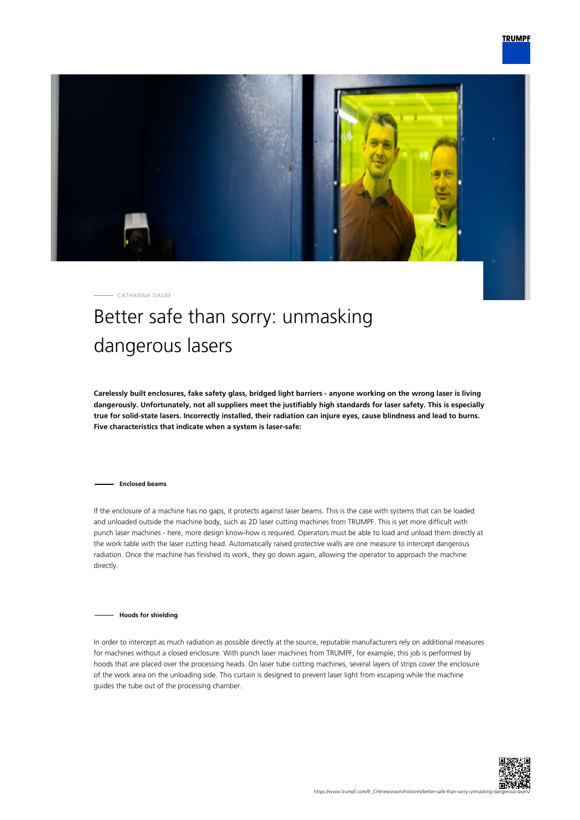

CATHARINA DAUM

## Better safe than sorry: unmasking dangerous lasers

**Carelessly built enclosures, fake safety glass, bridged light barriers - anyone working on the wrong laser is living dangerously. Unfortunately, not all suppliers meet the justifiably high standards for laser safety. This is especially true for solid-state lasers. Incorrectly installed, their radiation can injure eyes, cause blindness and lead to burns. Five characteristics that indicate when a system is laser-safe:**

**Enclosed beams**

If the enclosure of a machine has no gaps, it protects against laser beams. This is the case with systems that can be loaded and unloaded outside the machine body, such as 2D laser cutting machines from TRUMPF. This is yet more difficult with punch laser machines - here, more design know-how is required. Operators must be able to load and unload them directly at the work table with the laser cutting head. Automatically raised protective walls are one measure to intercept dangerous radiation. Once the machine has finished its work, they go down again, allowing the operator to approach the machine directly.

**Hoods for shielding**

In order to intercept as much radiation as possible directly at the source, reputable manufacturers rely on additional measures for machines without a closed enclosure. With punch laser machines from TRUMPF, for example, this job is performed by hoods that are placed over the processing heads. On laser tube cutting machines, several layers of strips cover the enclosure of the work area on the unloading side. This curtain is designed to prevent laser light from escaping while the machine guides the tube out of the processing chamber.

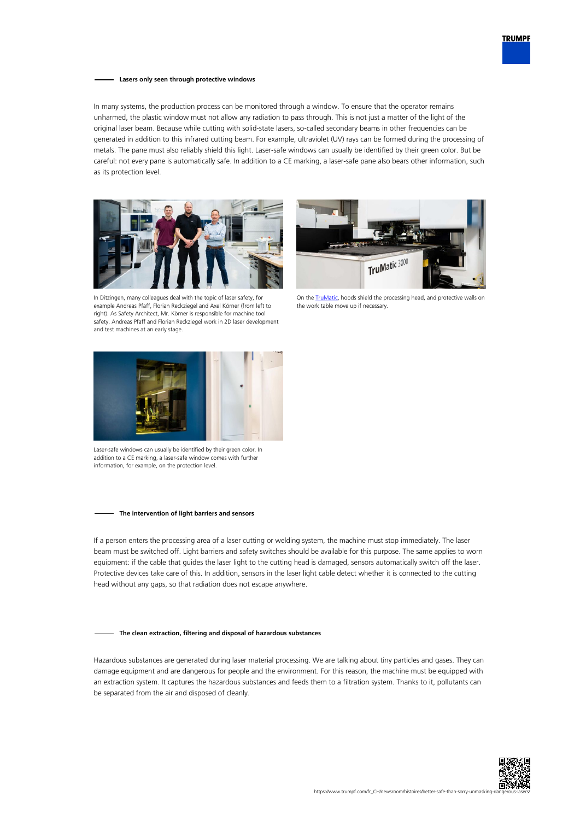

## **Lasers only seen through protective windows**

In many systems, the production process can be monitored through a window. To ensure that the operator remains unharmed, the plastic window must not allow any radiation to pass through. This is not just a matter of the light of the original laser beam. Because while cutting with solid-state lasers, so-called secondary beams in other frequencies can be generated in addition to this infrared cutting beam. For example, ultraviolet (UV) rays can be formed during the processing of metals. The pane must also reliably shield this light. Laser-safe windows can usually be identified by their green color. But be careful: not every pane is automatically safe. In addition to a CE marking, a laser-safe pane also bears other information, such as its protection level.





In Ditzingen, many colleagues deal with the topic of laser safety, for example Andreas Pfaff, Florian Reckziegel and Axel Körner (from left to right). As Safety Architect, Mr. Körner is responsible for machine tool safety. Andreas Pfaff and Florian Reckziegel work in 2D laser development and test machines at an early stage.

On the **TruMatic**, hoods shield the processing head, and protective walls on the work table move up if necessary.



Laser-safe windows can usually be identified by their green color. In addition to a CE marking, a laser-safe window comes with further information, for example, on the protection level.

## **The intervention of light barriers and sensors**

If a person enters the processing area of a laser cutting or welding system, the machine must stop immediately. The laser beam must be switched off. Light barriers and safety switches should be available for this purpose. The same applies to worn equipment: if the cable that guides the laser light to the cutting head is damaged, sensors automatically switch off the laser. Protective devices take care of this. In addition, sensors in the laser light cable detect whether it is connected to the cutting head without any gaps, so that radiation does not escape anywhere.

## **The clean extraction, filtering and disposal of hazardous substances**

Hazardous substances are generated during laser material processing. We are talking about tiny particles and gases. They can damage equipment and are dangerous for people and the environment. For this reason, the machine must be equipped with an extraction system. It captures the hazardous substances and feeds them to a filtration system. Thanks to it, pollutants can be separated from the air and disposed of cleanly.